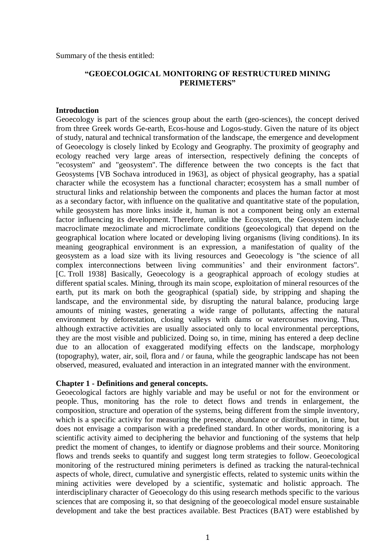Summary of the thesis entitled:

# **"GEOECOLOGICAL MONITORING OF RESTRUCTURED MINING PERIMETERS"**

## **Introduction**

Geoecology is part of the sciences group about the earth (geo-sciences), the concept derived from three Greek words Ge-earth, Ecos-house and Logos-study. Given the nature of its object of study, natural and technical transformation of the landscape, the emergence and development of Geoecology is closely linked by Ecology and Geography. The proximity of geography and ecology reached very large areas of intersection, respectively defining the concepts of "ecosystem" and "geosystem". The difference between the two concepts is the fact that Geosystems [VB Sochava introduced in 1963], as object of physical geography, has a spatial character while the ecosystem has a functional character; ecosystem has a small number of structural links and relationship between the components and places the human factor at most as a secondary factor, with influence on the qualitative and quantitative state of the population, while geosystem has more links inside it, human is not a component being only an external factor influencing its development. Therefore, unlike the Ecosystem, the Geosystem include macroclimate mezoclimate and microclimate conditions (geoecological) that depend on the geographical location where located or developing living organisms (living conditions). In its meaning geographical environment is an expression, a manifestation of quality of the geosystem as a load size with its living resources and Geoecology is "the science of all complex interconnections between living communities' and their environment factors". [C. Troll 1938] Basically, Geoecology is a geographical approach of ecology studies at different spatial scales. Mining, through its main scope, exploitation of mineral resources of the earth, put its mark on both the geographical (spatial) side, by stripping and shaping the landscape, and the environmental side, by disrupting the natural balance, producing large amounts of mining wastes, generating a wide range of pollutants, affecting the natural environment by deforestation, closing valleys with dams or watercourses moving. Thus, although extractive activities are usually associated only to local environmental perceptions, they are the most visible and publicized. Doing so, in time, mining has entered a deep decline due to an allocation of exaggerated modifying effects on the landscape, morphology (topography), water, air, soil, flora and / or fauna, while the geographic landscape has not been observed, measured, evaluated and interaction in an integrated manner with the environment.

## **Chapter 1 - Definitions and general concepts.**

Geoecological factors are highly variable and may be useful or not for the environment or people. Thus, monitoring has the role to detect flows and trends in enlargement, the composition, structure and operation of the systems, being different from the simple inventory, which is a specific activity for measuring the presence, abundance or distribution, in time, but does not envisage a comparison with a predefined standard. In other words, monitoring is a scientific activity aimed to deciphering the behavior and functioning of the systems that help predict the moment of changes, to identify or diagnose problems and their source. Monitoring flows and trends seeks to quantify and suggest long term strategies to follow. Geoecological monitoring of the restructured mining perimeters is defined as tracking the natural-technical aspects of whole, direct, cumulative and synergistic effects, related to systemic units within the mining activities were developed by a scientific, systematic and holistic approach. The interdisciplinary character of Geoecology do this using research methods specific to the various sciences that are composing it, so that designing of the geoecological model ensure sustainable development and take the best practices available. Best Practices (BAT) were established by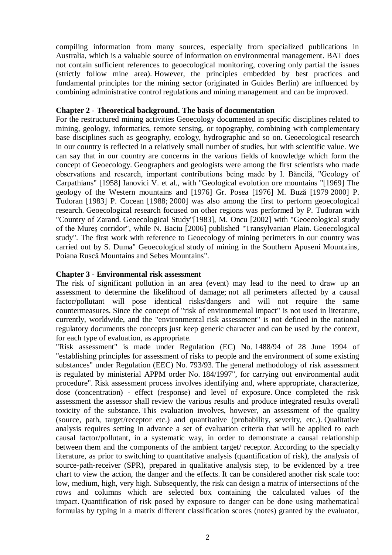compiling information from many sources, especially from specialized publications in Australia, which is a valuable source of information on environmental management. BAT does not contain sufficient references to geoecological monitoring, covering only partial the issues (strictly follow mine area). However, the principles embedded by best practices and fundamental principles for the mining sector (originated in Guides Berlin) are influenced by combining administrative control regulations and mining management and can be improved.

### **Chapter 2 - Theoretical background. The basis of documentation**

For the restructured mining activities Geoecology documented in specific disciplines related to mining, geology, informatics, remote sensing, or topography, combining with complementary base disciplines such as geography, ecology, hydrographic and so on. Geoecological research in our country is reflected in a relatively small number of studies, but with scientific value. We can say that in our country are concerns in the various fields of knowledge which form the concept of Geoecology. Geographers and geologists were among the first scientists who made observations and research, important contributions being made by I. Băncilă, "Geology of Carpathians" [1958] Ianovici V. et al., with "Geological evolution ore mountains "[1969] The geology of the Western mountains and [1976] Gr. Posea [1976] M. Buză [1979 2000] P. Tudoran [1983] P. Cocean [1988; 2000] was also among the first to perform geoecological research. Geoecological research focused on other regions was performed by P. Tudoran with "Country of Zarand. Geoecological Study"[1983], M. Oncu [2002] with "Geoecological study of the Mureş corridor", while N. Baciu [2006] published "Transylvanian Plain. Geoecological study". The first work with reference to Geoecology of mining perimeters in our country was carried out by S. Duma" Geoecological study of mining in the Southern Apuseni Mountains, Poiana Ruscă Mountains and Sebes Mountains".

### **Chapter 3 - Environmental risk assessment**

The risk of significant pollution in an area (event) may lead to the need to draw up an assessment to determine the likelihood of damage; not all perimeters affected by a causal factor/pollutant will pose identical risks/dangers and will not require the same countermeasures. Since the concept of "risk of environmental impact" is not used in literature, currently, worldwide, and the "environmental risk assessment" is not defined in the national regulatory documents the concepts just keep generic character and can be used by the context, for each type of evaluation, as appropriate.

"Risk assessment" is made under Regulation (EC) No. 1488/94 of 28 June 1994 of "establishing principles for assessment of risks to people and the environment of some existing substances" under Regulation (EEC) No. 793/93. The general methodology of risk assessment is regulated by ministerial APPM order No. 184/1997", for carrying out environmental audit procedure". Risk assessment process involves identifying and, where appropriate, characterize, dose (concentration) - effect (response) and level of exposure. Once completed the risk assessment the assessor shall review the various results and produce integrated results overall toxicity of the substance. This evaluation involves, however, an assessment of the quality (source, path, target/receptor etc.) and quantitative (probability, severity, etc.). Qualitative analysis requires setting in advance a set of evaluation criteria that will be applied to each causal factor/pollutant, in a systematic way, in order to demonstrate a causal relationship between them and the components of the ambient target/ receptor. According to the specialty literature, as prior to switching to quantitative analysis (quantification of risk), the analysis of source-path-receiver (SPR), prepared in qualitative analysis step, to be evidenced by a tree chart to view the action, the danger and the effects. It can be considered another risk scale too: low, medium, high, very high. Subsequently, the risk can design a matrix of intersections of the rows and columns which are selected box containing the calculated values of the impact. Quantification of risk posed by exposure to danger can be done using mathematical formulas by typing in a matrix different classification scores (notes) granted by the evaluator,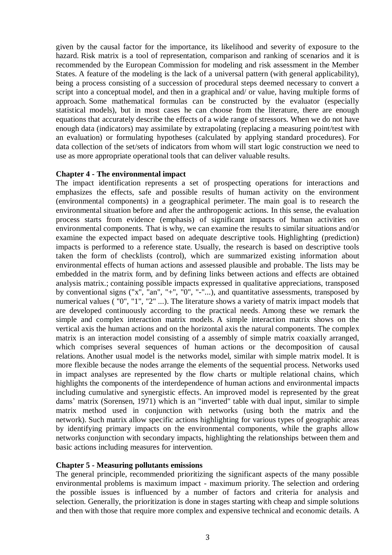given by the causal factor for the importance, its likelihood and severity of exposure to the hazard. Risk matrix is a tool of representation, comparison and ranking of scenarios and it is recommended by the European Commission for modeling and risk assessment in the Member States. A feature of the modeling is the lack of a universal pattern (with general applicability), being a process consisting of a succession of procedural steps deemed necessary to convert a script into a conceptual model, and then in a graphical and/ or value, having multiple forms of approach. Some mathematical formulas can be constructed by the evaluator (especially statistical models), but in most cases he can choose from the literature, there are enough equations that accurately describe the effects of a wide range of stressors. When we do not have enough data (indicators) may assimilate by extrapolating (replacing a measuring point/test with an evaluation) or formulating hypotheses (calculated by applying standard procedures). For data collection of the set/sets of indicators from whom will start logic construction we need to use as more appropriate operational tools that can deliver valuable results.

### **Chapter 4 - The environmental impact**

The impact identification represents a set of prospecting operations for interactions and emphasizes the effects, safe and possible results of human activity on the environment (environmental components) in a geographical perimeter. The main goal is to research the environmental situation before and after the anthropogenic actions. In this sense, the evaluation process starts from evidence (emphasis) of significant impacts of human activities on environmental components. That is why, we can examine the results to similar situations and/or examine the expected impact based on adequate descriptive tools. Highlighting (prediction) impacts is performed to a reference state. Usually, the research is based on descriptive tools taken the form of checklists (control), which are summarized existing information about environmental effects of human actions and assessed plausible and probable. The lists may be embedded in the matrix form, and by defining links between actions and effects are obtained analysis matrix.; containing possible impacts expressed in qualitative appreciations, transposed by conventional signs ("x", "an", "+", "0", "-"...), and quantitative assessments, transposed by numerical values ( "0", "1", "2" ...). The literature shows a variety of matrix impact models that are developed continuously according to the practical needs. Among these we remark the simple and complex interaction matrix models. A simple interaction matrix shows on the vertical axis the human actions and on the horizontal axis the natural components. The complex matrix is an interaction model consisting of a assembly of simple matrix coaxially arranged, which comprises several sequences of human actions or the decomposition of causal relations. Another usual model is the networks model, similar with simple matrix model. It is more flexible because the nodes arrange the elements of the sequential process. Networks used in impact analyses are represented by the flow charts or multiple relational chains, which highlights the components of the interdependence of human actions and environmental impacts including cumulative and synergistic effects. An improved model is represented by the great dams' matrix (Sorensen, 1971) which is an "inverted" table with dual input, similar to simple matrix method used in conjunction with networks (using both the matrix and the network). Such matrix allow specific actions highlighting for various types of geographic areas by identifying primary impacts on the environmental components, while the graphs allow networks conjunction with secondary impacts, highlighting the relationships between them and basic actions including measures for intervention.

#### **Chapter 5 - Measuring pollutants emissions**

The general principle, recommended prioritizing the significant aspects of the many possible environmental problems is maximum impact - maximum priority. The selection and ordering the possible issues is influenced by a number of factors and criteria for analysis and selection. Generally, the prioritization is done in stages starting with cheap and simple solutions and then with those that require more complex and expensive technical and economic details. A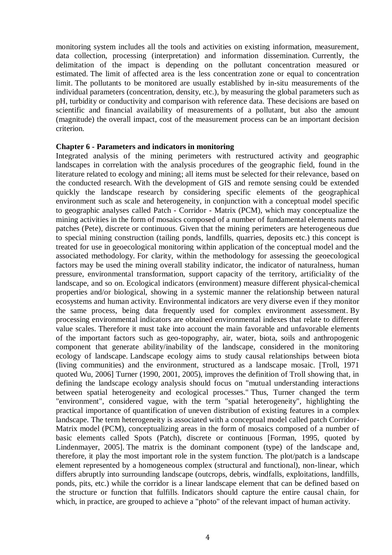monitoring system includes all the tools and activities on existing information, measurement, data collection, processing (interpretation) and information dissemination. Currently, the delimitation of the impact is depending on the pollutant concentration measured or estimated. The limit of affected area is the less concentration zone or equal to concentration limit. The pollutants to be monitored are usually established by in-situ measurements of the individual parameters (concentration, density, etc.), by measuring the global parameters such as pH, turbidity or conductivity and comparison with reference data. These decisions are based on scientific and financial availability of measurements of a pollutant, but also the amount (magnitude) the overall impact, cost of the measurement process can be an important decision criterion.

#### **Chapter 6 - Parameters and indicators in monitoring**

Integrated analysis of the mining perimeters with restructured activity and geographic landscapes in correlation with the analysis procedures of the geographic field, found in the literature related to ecology and mining; all items must be selected for their relevance, based on the conducted research. With the development of GIS and remote sensing could be extended quickly the landscape research by considering specific elements of the geographical environment such as scale and heterogeneity, in conjunction with a conceptual model specific to geographic analyses called Patch - Corridor - Matrix (PCM), which may conceptualize the mining activities in the form of mosaics composed of a number of fundamental elements named patches (Pete), discrete or continuous. Given that the mining perimeters are heterogeneous due to special mining construction (tailing ponds, landfills, quarries, deposits etc.) this concept is treated for use in geoecological monitoring within application of the conceptual model and the associated methodology. For clarity, within the methodology for assessing the geoecological factors may be used the mining overall stability indicator, the indicator of naturalness, human pressure, environmental transformation, support capacity of the territory, artificiality of the landscape, and so on. Ecological indicators (environment) measure different physical-chemical properties and/or biological, showing in a systemic manner the relationship between natural ecosystems and human activity. Environmental indicators are very diverse even if they monitor the same process, being data frequently used for complex environment assessment. By processing environmental indicators are obtained environmental indexes that relate to different value scales. Therefore it must take into account the main favorable and unfavorable elements of the important factors such as geo-topography, air, water, biota, soils and anthropogenic component that generate ability/inability of the landscape, considered in the monitoring ecology of landscape. Landscape ecology aims to study causal relationships between biota (living communities) and the environment, structured as a landscape mosaic. [Troll, 1971 quoted Wu, 2006] Turner (1990, 2001, 2005), improves the definition of Troll showing that, in defining the landscape ecology analysis should focus on "mutual understanding interactions between spatial heterogeneity and ecological processes." Thus, Turner changed the term "environment", considered vague, with the term "spatial heterogeneity", highlighting the practical importance of quantification of uneven distribution of existing features in a complex landscape. The term heterogeneity is associated with a conceptual model called patch Corridor-Matrix model (PCM), conceptualizing areas in the form of mosaics composed of a number of basic elements called Spots (Patch), discrete or continuous [Forman, 1995, quoted by Lindenmayer, 2005]. The matrix is the dominant component (type) of the landscape and, therefore, it play the most important role in the system function. The plot/patch is a landscape element represented by a homogeneous complex (structural and functional), non-linear, which differs abruptly into surrounding landscape (outcrops, debris, windfalls, exploitations, landfills, ponds, pits, etc.) while the corridor is a linear landscape element that can be defined based on the structure or function that fulfills. Indicators should capture the entire causal chain, for which, in practice, are grouped to achieve a "photo" of the relevant impact of human activity.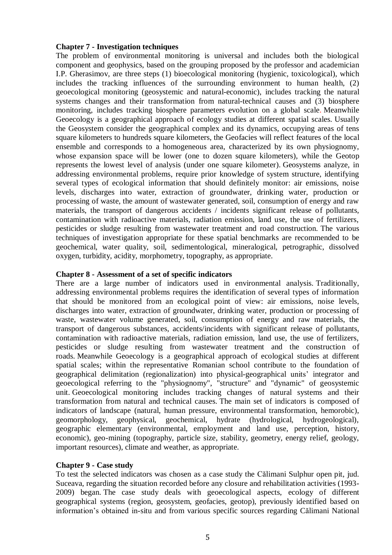## **Chapter 7 - Investigation techniques**

The problem of environmental monitoring is universal and includes both the biological component and geophysics, based on the grouping proposed by the professor and academician I.P. Gherasimov, are three steps (1) bioecological monitoring (hygienic, toxicological), which includes the tracking influences of the surrounding environment to human health, (2) geoecological monitoring (geosystemic and natural-economic), includes tracking the natural systems changes and their transformation from natural-technical causes and (3) biosphere monitoring, includes tracking biosphere parameters evolution on a global scale. Meanwhile Geoecology is a geographical approach of ecology studies at different spatial scales. Usually the Geosystem consider the geographical complex and its dynamics, occupying areas of tens square kilometers to hundreds square kilometers, the Geofacies will reflect features of the local ensemble and corresponds to a homogeneous area, characterized by its own physiognomy, whose expansion space will be lower (one to dozen square kilometers), while the Geotop represents the lowest level of analysis (under one square kilometer). Geosystems analyze, in addressing environmental problems, require prior knowledge of system structure, identifying several types of ecological information that should definitely monitor: air emissions, noise levels, discharges into water, extraction of groundwater, drinking water, production or processing of waste, the amount of wastewater generated, soil, consumption of energy and raw materials, the transport of dangerous accidents / incidents significant release of pollutants, contamination with radioactive materials, radiation emission, land use, the use of fertilizers, pesticides or sludge resulting from wastewater treatment and road construction. The various techniques of investigation appropriate for these spatial benchmarks are recommended to be geochemical, water quality, soil, sedimentological, mineralogical, petrographic, dissolved oxygen, turbidity, acidity, morphometry, topography, as appropriate.

### **Chapter 8 - Assessment of a set of specific indicators**

There are a large number of indicators used in environmental analysis. Traditionally, addressing environmental problems requires the identification of several types of information that should be monitored from an ecological point of view: air emissions, noise levels, discharges into water, extraction of groundwater, drinking water, production or processing of waste, wastewater volume generated, soil, consumption of energy and raw materials, the transport of dangerous substances, accidents/incidents with significant release of pollutants, contamination with radioactive materials, radiation emission, land use, the use of fertilizers, pesticides or sludge resulting from wastewater treatment and the construction of roads. Meanwhile Geoecology is a geographical approach of ecological studies at different spatial scales; within the representative Romanian school contribute to the foundation of geographical delimitation (regionalization) into physical-geographical units' integrator and geoecological referring to the "physiognomy", "structure" and "dynamic" of geosystemic unit. Geoecological monitoring includes tracking changes of natural systems and their transformation from natural and technical causes. The main set of indicators is composed of indicators of landscape (natural, human pressure, environmental transformation, hemorobic), geomorphology, geophysical, geochemical, hydrate (hydrological, hydrogeological), geographic elementary (environmental, employment and land use, perception, history, economic), geo-mining (topography, particle size, stability, geometry, energy relief, geology, important resources), climate and weather, as appropriate.

### **Chapter 9 - Case study**

To test the selected indicators was chosen as a case study the Călimani Sulphur open pit, jud. Suceava, regarding the situation recorded before any closure and rehabilitation activities (1993- 2009) began. The case study deals with geoecological aspects, ecology of different geographical systems (region, geosystem, geofacies, geotop), previously identified based on information's obtained in-situ and from various specific sources regarding Călimani National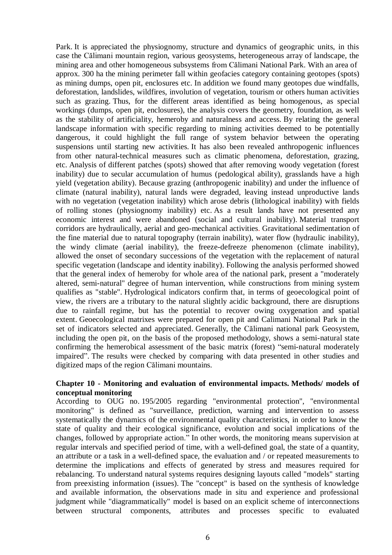Park. It is appreciated the physiognomy, structure and dynamics of geographic units, in this case the Călimani mountain region, various geosystems, heterogeneous array of landscape, the mining area and other homogeneous subsystems from Călimani National Park. With an area of approx. 300 ha the mining perimeter fall within geofacies category containing geotopes (spots) as mining dumps, open pit, enclosures etc. In addition we found many geotopes due windfalls, deforestation, landslides, wildfires, involution of vegetation, tourism or others human activities such as grazing. Thus, for the different areas identified as being homogenous, as special workings (dumps, open pit, enclosures), the analysis covers the geometry, foundation, as well as the stability of artificiality, hemeroby and naturalness and access. By relating the general landscape information with specific regarding to mining activities deemed to be potentially dangerous, it could highlight the full range of system behavior between the operating suspensions until starting new activities. It has also been revealed anthropogenic influences from other natural-technical measures such as climatic phenomena, deforestation, grazing, etc. Analysis of different patches (spots) showed that after removing woody vegetation (forest inability) due to secular accumulation of humus (pedological ability), grasslands have a high yield (vegetation ability). Because grazing (anthropogenic inability) and under the influence of climate (natural inability), natural lands were degraded, leaving instead unproductive lands with no vegetation (vegetation inability) which arose debris (lithological inability) with fields of rolling stones (physiognomy inability) etc. As a result lands have not presented any economic interest and were abandoned (social and cultural inability). Material transport corridors are hydraulically, aerial and geo-mechanical activities. Gravitational sedimentation of the fine material due to natural topography (terrain inability), water flow (hydraulic inability), the windy climate (aerial inability), the freeze-defreeze phenomenon (climate inability), allowed the onset of secondary successions of the vegetation with the replacement of natural specific vegetation (landscape and identity inability). Following the analysis performed showed that the general index of hemeroby for whole area of the national park, present a "moderately altered, semi-natural" degree of human intervention, while constructions from mining system qualifies as "stable". Hydrological indicators confirm that, in terms of geoecological point of view, the rivers are a tributary to the natural slightly acidic background, there are disruptions due to rainfall regime, but has the potential to recover owing oxygenation and spatial extent. Geoecological matrixes were prepared for open pit and Calimani National Park in the set of indicators selected and appreciated. Generally, the Călimani national park Geosystem, including the open pit, on the basis of the proposed methodology, shows a semi-natural state confirming the hemerobical assessment of the basic matrix (forest) "semi-natural moderately impaired". The results were checked by comparing with data presented in other studies and digitized maps of the region Călimani mountains.

## **Chapter 10 - Monitoring and evaluation of environmental impacts. Methods/ models of conceptual monitoring**

According to OUG no. 195/2005 regarding "environmental protection", "environmental monitoring" is defined as "surveillance, prediction, warning and intervention to assess systematically the dynamics of the environmental quality characteristics, in order to know the state of quality and their ecological significance, evolution and social implications of the changes, followed by appropriate action." In other words, the monitoring means supervision at regular intervals and specified period of time, with a well-defined goal, the state of a quantity, an attribute or a task in a well-defined space, the evaluation and / or repeated measurements to determine the implications and effects of generated by stress and measures required for rebalancing. To understand natural systems requires designing layouts called "models" starting from preexisting information (issues). The "concept" is based on the synthesis of knowledge and available information, the observations made in situ and experience and professional judgment while "diagrammatically" model is based on an explicit scheme of interconnections between structural components, attributes and processes specific to evaluated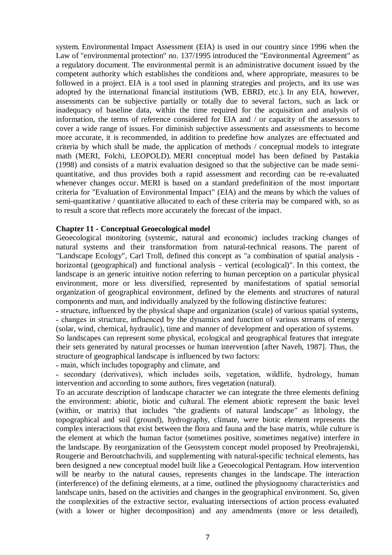system. Environmental Impact Assessment (EIA) is used in our country since 1996 when the Law of "environmental protection" no. 137/1995 introduced the "Environmental Agreement" as a regulatory document. The environmental permit is an administrative document issued by the competent authority which establishes the conditions and, where appropriate, measures to be followed in a project. EIA is a tool used in planning strategies and projects, and its use was adopted by the international financial institutions (WB, EBRD, etc.). In any EIA, however, assessments can be subjective partially or totally due to several factors, such as lack or inadequacy of baseline data, within the time required for the acquisition and analysis of information, the terms of reference considered for EIA and / or capacity of the assessors to cover a wide range of issues. For diminish subjective assessments and assessments to become more accurate, it is recommended, in addition to predefine how analyzes are effectuated and criteria by which shall be made, the application of methods / conceptual models to integrate math (MERI, Folchi, LEOPOLD). MERI conceptual model has been defined by Pastakia (1998) and consists of a matrix evaluation designed so that the subjective can be made semiquantitative, and thus provides both a rapid assessment and recording can be re-evaluated whenever changes occur. MERI is based on a standard predefinition of the most important criteria for "Evaluation of Environmental Impact" (EIA) and the means by which the values of semi-quantitative / quantitative allocated to each of these criteria may be compared with, so as to result a score that reflects more accurately the forecast of the impact.

### **Chapter 11 - Conceptual Geoecological model**

Geoecological monitoring (systemic, natural and economic) includes tracking changes of natural systems and their transformation from natural-technical reasons. The parent of "Landscape Ecology", Carl Troll, defined this concept as "a combination of spatial analysis horizontal (geographical) and functional analysis - vertical (ecological)". In this context, the landscape is an generic intuitive notion referring to human perception on a particular physical environment, more or less diversified, represented by manifestations of spatial sensorial organization of geographical environment, defined by the elements and structures of natural components and man, and individually analyzed by the following distinctive features:

˗ structure, influenced by the physical shape and organization (scale) of various spatial systems, - changes in structure, influenced by the dynamics and function of various streams of energy (solar, wind, chemical, hydraulic), time and manner of development and operation of systems.

So landscapes can represent some physical, ecological and geographical features that integrate their sets generated by natural processes or human intervention [after Naveh, 1987]. Thus, the structure of geographical landscape is influenced by two factors:

- main, which includes topography and climate, and

- secondary (derivatives), which includes soils, vegetation, wildlife, hydrology, human intervention and according to some authors, fires vegetation (natural).

To an accurate description of landscape character we can integrate the three elements defining the environment: abiotic, biotic and cultural. The element abiotic represent the basic level (within, or matrix) that includes "the gradients of natural landscape" as lithology, the topographical and soil (ground), hydrography, climate, were biotic element represents the complex interactions that exist between the flora and fauna and the base matrix, while culture is the element at which the human factor (sometimes positive, sometimes negative) interfere in the landscape. By reorganization of the Geosystem concept model proposed by Preobrajenski, Rougerie and Beroutchachvili, and supplementing with natural-specific technical elements, has been designed a new conceptual model built like a Geoecological Pentagram. How intervention will be nearby to the natural causes, represents changes in the landscape. The interaction (interference) of the defining elements, at a time, outlined the physiognomy characteristics and landscape units, based on the activities and changes in the geographical environment. So, given the complexities of the extractive sector, evaluating intersections of action process evaluated (with a lower or higher decomposition) and any amendments (more or less detailed),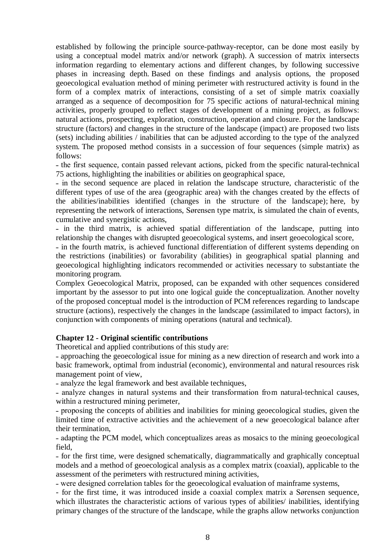established by following the principle source-pathway-receptor, can be done most easily by using a conceptual model matrix and/or network (graph). A succession of matrix intersects information regarding to elementary actions and different changes, by following successive phases in increasing depth. Based on these findings and analysis options, the proposed geoecological evaluation method of mining perimeter with restructured activity is found in the form of a complex matrix of interactions, consisting of a set of simple matrix coaxially arranged as a sequence of decomposition for 75 specific actions of natural-technical mining activities, properly grouped to reflect stages of development of a mining project, as follows: natural actions, prospecting, exploration, construction, operation and closure. For the landscape structure (factors) and changes in the structure of the landscape (impact) are proposed two lists (sets) including abilities / inabilities that can be adjusted according to the type of the analyzed system. The proposed method consists in a succession of four sequences (simple matrix) as follows:

˗ the first sequence, contain passed relevant actions, picked from the specific natural-technical 75 actions, highlighting the inabilities or abilities on geographical space,

˗ in the second sequence are placed in relation the landscape structure, characteristic of the different types of use of the area (geographic area) with the changes created by the effects of the abilities/inabilities identified (changes in the structure of the landscape); here, by representing the network of interactions, Sørensen type matrix, is simulated the chain of events, cumulative and synergistic actions,

- in the third matrix, is achieved spatial differentiation of the landscape, putting into relationship the changes with disrupted geoecological systems, and insert geoecological score,

˗ in the fourth matrix, is achieved functional differentiation of different systems depending on the restrictions (inabilities) or favorability (abilities) in geographical spatial planning and geoecological highlighting indicators recommended or activities necessary to substantiate the monitoring program.

Complex Geoecological Matrix, proposed, can be expanded with other sequences considered important by the assessor to put into one logical guide the conceptualization. Another novelty of the proposed conceptual model is the introduction of PCM references regarding to landscape structure (actions), respectively the changes in the landscape (assimilated to impact factors), in conjunction with components of mining operations (natural and technical).

#### **Chapter 12 - Original scientific contributions**

Theoretical and applied contributions of this study are:

˗ approaching the geoecological issue for mining as a new direction of research and work into a basic framework, optimal from industrial (economic), environmental and natural resources risk management point of view,

˗ analyze the legal framework and best available techniques,

- analyze changes in natural systems and their transformation from natural-technical causes, within a restructured mining perimeter,

˗ proposing the concepts of abilities and inabilities for mining geoecological studies, given the limited time of extractive activities and the achievement of a new geoecological balance after their termination,

˗ adapting the PCM model, which conceptualizes areas as mosaics to the mining geoecological field,

˗ for the first time, were designed schematically, diagrammatically and graphically conceptual models and a method of geoecological analysis as a complex matrix (coaxial), applicable to the assessment of the perimeters with restructured mining activities,

˗ were designed correlation tables for the geoecological evaluation of mainframe systems,

- for the first time, it was introduced inside a coaxial complex matrix a Sørensen sequence, which illustrates the characteristic actions of various types of abilities/ inabilities, identifying primary changes of the structure of the landscape, while the graphs allow networks conjunction